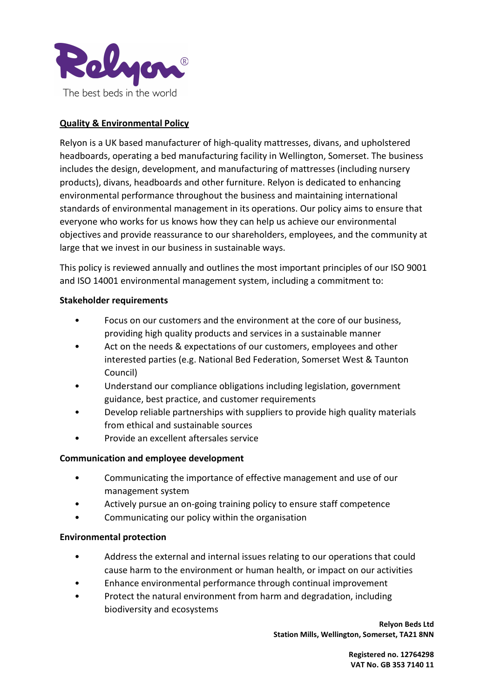

# Quality & Environmental Policy

Relyon is a UK based manufacturer of high-quality mattresses, divans, and upholstered headboards, operating a bed manufacturing facility in Wellington, Somerset. The business includes the design, development, and manufacturing of mattresses (including nursery products), divans, headboards and other furniture. Relyon is dedicated to enhancing environmental performance throughout the business and maintaining international standards of environmental management in its operations. Our policy aims to ensure that everyone who works for us knows how they can help us achieve our environmental objectives and provide reassurance to our shareholders, employees, and the community at large that we invest in our business in sustainable ways.

This policy is reviewed annually and outlines the most important principles of our ISO 9001 and ISO 14001 environmental management system, including a commitment to:

### Stakeholder requirements

- Focus on our customers and the environment at the core of our business, providing high quality products and services in a sustainable manner
- Act on the needs & expectations of our customers, employees and other interested parties (e.g. National Bed Federation, Somerset West & Taunton Council)
- Understand our compliance obligations including legislation, government guidance, best practice, and customer requirements
- Develop reliable partnerships with suppliers to provide high quality materials from ethical and sustainable sources
- Provide an excellent aftersales service

## Communication and employee development

- Communicating the importance of effective management and use of our management system
- Actively pursue an on-going training policy to ensure staff competence
- Communicating our policy within the organisation

## Environmental protection

- Address the external and internal issues relating to our operations that could cause harm to the environment or human health, or impact on our activities
- Enhance environmental performance through continual improvement
- Protect the natural environment from harm and degradation, including biodiversity and ecosystems

Relyon Beds Ltd Station Mills, Wellington, Somerset, TA21 8NN